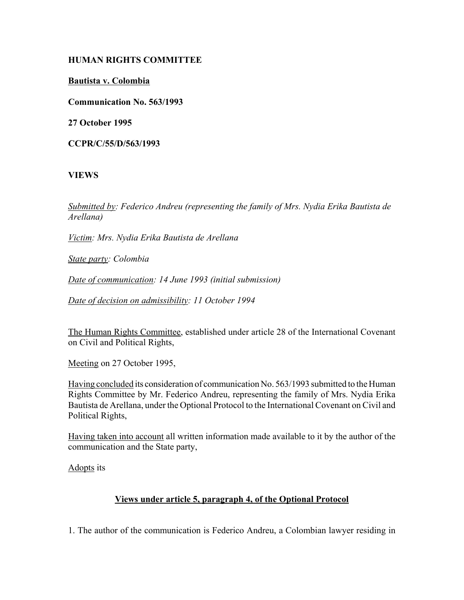## **HUMAN RIGHTS COMMITTEE**

**Bautista v. Colombia**

**Communication No. 563/1993**

**27 October 1995**

**CCPR/C/55/D/563/1993**

## **VIEWS**

*Submitted by: Federico Andreu (representing the family of Mrs. Nydia Erika Bautista de Arellana)*

*Victim: Mrs. Nydia Erika Bautista de Arellana*

*State party: Colombia*

*Date of communication: 14 June 1993 (initial submission)*

*Date of decision on admissibility: 11 October 1994*

The Human Rights Committee, established under article 28 of the International Covenant on Civil and Political Rights,

Meeting on 27 October 1995,

Having concluded its consideration of communication No. 563/1993 submitted to the Human Rights Committee by Mr. Federico Andreu, representing the family of Mrs. Nydia Erika Bautista de Arellana, under the Optional Protocol to the International Covenant on Civil and Political Rights,

Having taken into account all written information made available to it by the author of the communication and the State party,

Adopts its

# **Views under article 5, paragraph 4, of the Optional Protocol**

1. The author of the communication is Federico Andreu, a Colombian lawyer residing in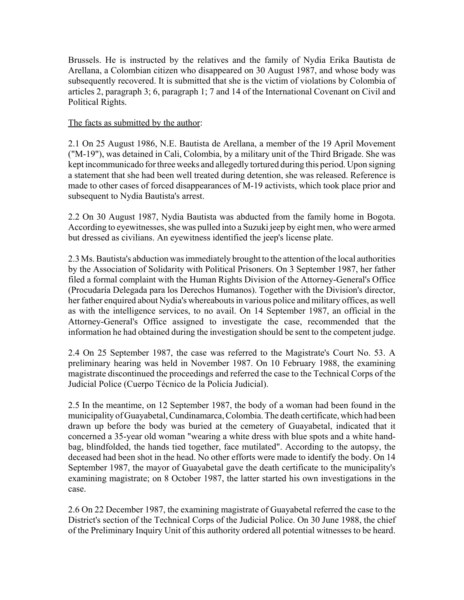Brussels. He is instructed by the relatives and the family of Nydia Erika Bautista de Arellana, a Colombian citizen who disappeared on 30 August 1987, and whose body was subsequently recovered. It is submitted that she is the victim of violations by Colombia of articles 2, paragraph 3; 6, paragraph 1; 7 and 14 of the International Covenant on Civil and Political Rights.

#### The facts as submitted by the author:

2.1 On 25 August 1986, N.E. Bautista de Arellana, a member of the 19 April Movement ("M-19"), was detained in Cali, Colombia, by a military unit of the Third Brigade. She was kept incommunicado for three weeks and allegedly tortured during this period. Upon signing a statement that she had been well treated during detention, she was released. Reference is made to other cases of forced disappearances of M-19 activists, which took place prior and subsequent to Nydia Bautista's arrest.

2.2 On 30 August 1987, Nydia Bautista was abducted from the family home in Bogota. According to eyewitnesses, she was pulled into a Suzuki jeep by eight men, who were armed but dressed as civilians. An eyewitness identified the jeep's license plate.

2.3 Ms. Bautista's abduction was immediately brought to the attention of the local authorities by the Association of Solidarity with Political Prisoners. On 3 September 1987, her father filed a formal complaint with the Human Rights Division of the Attorney-General's Office (ProcudarÌa Delegada para los Derechos Humanos). Together with the Division's director, her father enquired about Nydia's whereabouts in various police and military offices, as well as with the intelligence services, to no avail. On 14 September 1987, an official in the Attorney-General's Office assigned to investigate the case, recommended that the information he had obtained during the investigation should be sent to the competent judge.

2.4 On 25 September 1987, the case was referred to the Magistrate's Court No. 53. A preliminary hearing was held in November 1987. On 10 February 1988, the examining magistrate discontinued the proceedings and referred the case to the Technical Corps of the Judicial Police (Cuerpo Técnico de la Policía Judicial).

2.5 In the meantime, on 12 September 1987, the body of a woman had been found in the municipality of Guayabetal, Cundinamarca, Colombia. The death certificate, which had been drawn up before the body was buried at the cemetery of Guayabetal, indicated that it concerned a 35-year old woman "wearing a white dress with blue spots and a white handbag, blindfolded, the hands tied together, face mutilated". According to the autopsy, the deceased had been shot in the head. No other efforts were made to identify the body. On 14 September 1987, the mayor of Guayabetal gave the death certificate to the municipality's examining magistrate; on 8 October 1987, the latter started his own investigations in the case.

2.6 On 22 December 1987, the examining magistrate of Guayabetal referred the case to the District's section of the Technical Corps of the Judicial Police. On 30 June 1988, the chief of the Preliminary Inquiry Unit of this authority ordered all potential witnesses to be heard.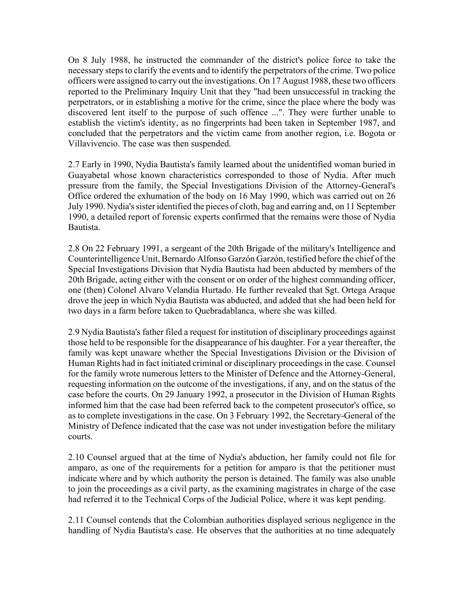On 8 July 1988, he instructed the commander of the district's police force to take the necessary steps to clarify the events and to identify the perpetrators of the crime. Two police officers were assigned to carry out the investigations. On 17 August 1988, these two officers reported to the Preliminary Inquiry Unit that they "had been unsuccessful in tracking the perpetrators, or in establishing a motive for the crime, since the place where the body was discovered lent itself to the purpose of such offence ...". They were further unable to establish the victim's identity, as no fingerprints had been taken in September 1987, and concluded that the perpetrators and the victim came from another region, i.e. Bogota or Villavivencio. The case was then suspended.

2.7 Early in 1990, Nydia Bautista's family learned about the unidentified woman buried in Guayabetal whose known characteristics corresponded to those of Nydia. After much pressure from the family, the Special Investigations Division of the Attorney-General's Office ordered the exhumation of the body on 16 May 1990, which was carried out on 26 July 1990. Nydia's sister identified the pieces of cloth, bag and earring and, on 11 September 1990, a detailed report of forensic experts confirmed that the remains were those of Nydia Bautista.

2.8 On 22 February 1991, a sergeant of the 20th Brigade of the military's Intelligence and Counterintelligence Unit, Bernardo Alfonso Garzón Garzón, testified before the chief of the Special Investigations Division that Nydia Bautista had been abducted by members of the 20th Brigade, acting either with the consent or on order of the highest commanding officer, one (then) Colonel Alvaro Velandia Hurtado. He further revealed that Sgt. Ortega Araque drove the jeep in which Nydia Bautista was abducted, and added that she had been held for two days in a farm before taken to Quebradablanca, where she was killed.

2.9 Nydia Bautista's father filed a request for institution of disciplinary proceedings against those held to be responsible for the disappearance of his daughter. For a year thereafter, the family was kept unaware whether the Special Investigations Division or the Division of Human Rights had in fact initiated criminal or disciplinary proceedings in the case. Counsel for the family wrote numerous letters to the Minister of Defence and the Attorney-General, requesting information on the outcome of the investigations, if any, and on the status of the case before the courts. On 29 January 1992, a prosecutor in the Division of Human Rights informed him that the case had been referred back to the competent prosecutor's office, so as to complete investigations in the case. On 3 February 1992, the Secretary-General of the Ministry of Defence indicated that the case was not under investigation before the military courts.

2.10 Counsel argued that at the time of Nydia's abduction, her family could not file for amparo, as one of the requirements for a petition for amparo is that the petitioner must indicate where and by which authority the person is detained. The family was also unable to join the proceedings as a civil party, as the examining magistrates in charge of the case had referred it to the Technical Corps of the Judicial Police, where it was kept pending.

2.11 Counsel contends that the Colombian authorities displayed serious negligence in the handling of Nydia Bautista's case. He observes that the authorities at no time adequately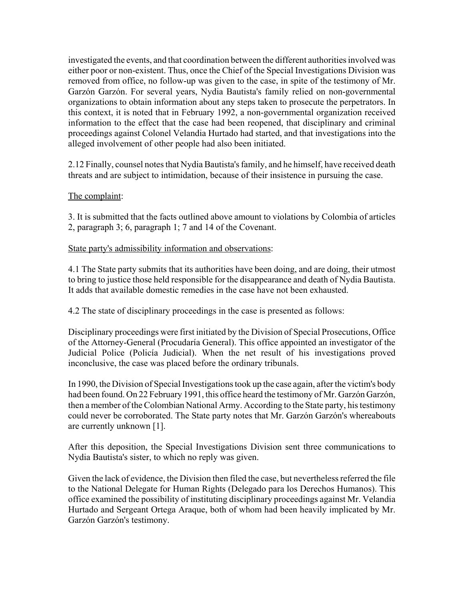investigated the events, and that coordination between the different authorities involved was either poor or non-existent. Thus, once the Chief of the Special Investigations Division was removed from office, no follow-up was given to the case, in spite of the testimony of Mr. Garzón Garzón. For several years, Nydia Bautista's family relied on non-governmental organizations to obtain information about any steps taken to prosecute the perpetrators. In this context, it is noted that in February 1992, a non-governmental organization received information to the effect that the case had been reopened, that disciplinary and criminal proceedings against Colonel Velandia Hurtado had started, and that investigations into the alleged involvement of other people had also been initiated.

2.12 Finally, counsel notes that Nydia Bautista's family, and he himself, have received death threats and are subject to intimidation, because of their insistence in pursuing the case.

# The complaint:

3. It is submitted that the facts outlined above amount to violations by Colombia of articles 2, paragraph 3; 6, paragraph 1; 7 and 14 of the Covenant.

## State party's admissibility information and observations:

4.1 The State party submits that its authorities have been doing, and are doing, their utmost to bring to justice those held responsible for the disappearance and death of Nydia Bautista. It adds that available domestic remedies in the case have not been exhausted.

4.2 The state of disciplinary proceedings in the case is presented as follows:

Disciplinary proceedings were first initiated by the Division of Special Prosecutions, Office of the Attorney-General (Procudaría General). This office appointed an investigator of the Judicial Police (Policía Judicial). When the net result of his investigations proved inconclusive, the case was placed before the ordinary tribunals.

In 1990, the Division of Special Investigations took up the case again, after the victim's body had been found. On 22 February 1991, this office heard the testimony of Mr. Garzón Garzón, then a member of the Colombian National Army. According to the State party, his testimony could never be corroborated. The State party notes that Mr. Garzón Garzón's whereabouts are currently unknown [1].

After this deposition, the Special Investigations Division sent three communications to Nydia Bautista's sister, to which no reply was given.

Given the lack of evidence, the Division then filed the case, but nevertheless referred the file to the National Delegate for Human Rights (Delegado para los Derechos Humanos). This office examined the possibility of instituting disciplinary proceedings against Mr. Velandia Hurtado and Sergeant Ortega Araque, both of whom had been heavily implicated by Mr. Garzón Garzón's testimony.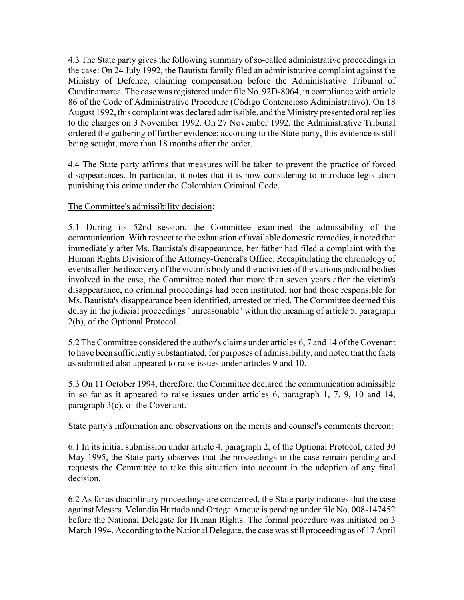4.3 The State party gives the following summary of so-called administrative proceedings in the case: On 24 July 1992, the Bautista family filed an administrative complaint against the Ministry of Defence, claiming compensation before the Administrative Tribunal of Cundinamarca. The case was registered under file No. 92D-8064, in compliance with article 86 of the Code of Administrative Procedure (Código Contencioso Administrativo). On 18 August 1992, this complaint was declared admissible, and the Ministry presented oral replies to the charges on 3 November 1992. On 27 November 1992, the Administrative Tribunal ordered the gathering of further evidence; according to the State party, this evidence is still being sought, more than 18 months after the order.

4.4 The State party affirms that measures will be taken to prevent the practice of forced disappearances. In particular, it notes that it is now considering to introduce legislation punishing this crime under the Colombian Criminal Code.

#### The Committee's admissibility decision:

5.1 During its 52nd session, the Committee examined the admissibility of the communication. With respect to the exhaustion of available domestic remedies, it noted that immediately after Ms. Bautista's disappearance, her father had filed a complaint with the Human Rights Division of the Attorney-General's Office. Recapitulating the chronology of events after the discovery of the victim's body and the activities of the various judicial bodies involved in the case, the Committee noted that more than seven years after the victim's disappearance, no criminal proceedings had been instituted, nor had those responsible for Ms. Bautista's disappearance been identified, arrested or tried. The Committee deemed this delay in the judicial proceedings "unreasonable" within the meaning of article 5, paragraph 2(b), of the Optional Protocol.

5.2 The Committee considered the author's claims under articles 6, 7 and 14 of the Covenant to have been sufficiently substantiated, for purposes of admissibility, and noted that the facts as submitted also appeared to raise issues under articles 9 and 10.

5.3 On 11 October 1994, therefore, the Committee declared the communication admissible in so far as it appeared to raise issues under articles 6, paragraph 1, 7, 9, 10 and 14, paragraph 3(c), of the Covenant.

#### State party's information and observations on the merits and counsel's comments thereon:

6.1 In its initial submission under article 4, paragraph 2, of the Optional Protocol, dated 30 May 1995, the State party observes that the proceedings in the case remain pending and requests the Committee to take this situation into account in the adoption of any final decision.

6.2 As far as disciplinary proceedings are concerned, the State party indicates that the case against Messrs. Velandia Hurtado and Ortega Araque is pending under file No. 008-147452 before the National Delegate for Human Rights. The formal procedure was initiated on 3 March 1994. According to the National Delegate, the case was still proceeding as of 17 April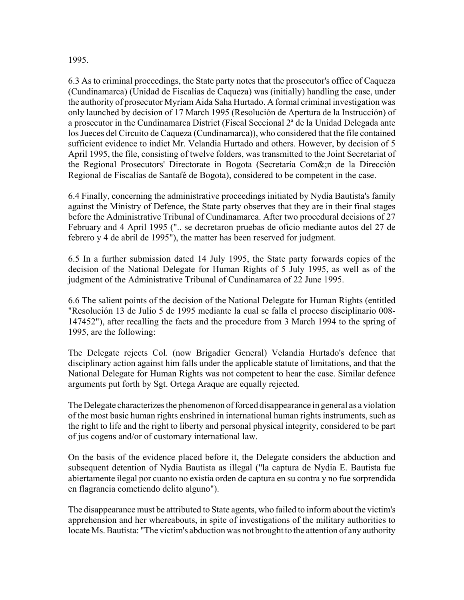6.3 As to criminal proceedings, the State party notes that the prosecutor's office of Caqueza (Cundinamarca) (Unidad de FiscalÌas de Caqueza) was (initially) handling the case, under the authority of prosecutor Myriam Aida Saha Hurtado. A formal criminal investigation was only launched by decision of 17 March 1995 (Resolución de Apertura de la Instrucción) of a prosecutor in the Cundinamarca District (Fiscal Seccional 2<sup>ª</sup> de la Unidad Delegada ante los Jueces del Circuito de Caqueza (Cundinamarca)), who considered that the file contained sufficient evidence to indict Mr. Velandia Hurtado and others. However, by decision of 5 April 1995, the file, consisting of twelve folders, was transmitted to the Joint Secretariat of the Regional Prosecutors' Directorate in Bogota (Secretaría Com&;n de la Dirección Regional de Fiscalías de Santafé de Bogota), considered to be competent in the case.

6.4 Finally, concerning the administrative proceedings initiated by Nydia Bautista's family against the Ministry of Defence, the State party observes that they are in their final stages before the Administrative Tribunal of Cundinamarca. After two procedural decisions of 27 February and 4 April 1995 (".. se decretaron pruebas de oficio mediante autos del 27 de febrero y 4 de abril de 1995"), the matter has been reserved for judgment.

6.5 In a further submission dated 14 July 1995, the State party forwards copies of the decision of the National Delegate for Human Rights of 5 July 1995, as well as of the judgment of the Administrative Tribunal of Cundinamarca of 22 June 1995.

6.6 The salient points of the decision of the National Delegate for Human Rights (entitled "Resolución 13 de Julio 5 de 1995 mediante la cual se falla el proceso disciplinario 008-147452"), after recalling the facts and the procedure from 3 March 1994 to the spring of 1995, are the following:

The Delegate rejects Col. (now Brigadier General) Velandia Hurtado's defence that disciplinary action against him falls under the applicable statute of limitations, and that the National Delegate for Human Rights was not competent to hear the case. Similar defence arguments put forth by Sgt. Ortega Araque are equally rejected.

The Delegate characterizes the phenomenon of forced disappearance in general as a violation of the most basic human rights enshrined in international human rights instruments, such as the right to life and the right to liberty and personal physical integrity, considered to be part of jus cogens and/or of customary international law.

On the basis of the evidence placed before it, the Delegate considers the abduction and subsequent detention of Nydia Bautista as illegal ("la captura de Nydia E. Bautista fue abiertamente ilegal por cuanto no existía orden de captura en su contra y no fue sorprendida en flagrancia cometiendo delito alguno").

The disappearance must be attributed to State agents, who failed to inform about the victim's apprehension and her whereabouts, in spite of investigations of the military authorities to locate Ms. Bautista: "The victim's abduction was not brought to the attention of any authority

1995.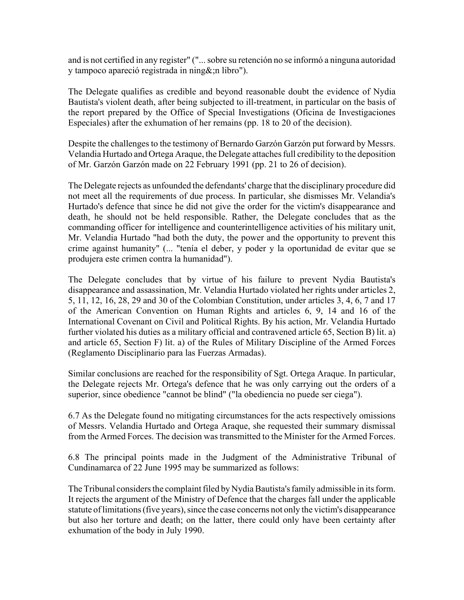and is not certified in any register" ("... sobre su retención no se informó a ninguna autoridad y tampoco apareció registrada in ning $\&$ ;n libro").

The Delegate qualifies as credible and beyond reasonable doubt the evidence of Nydia Bautista's violent death, after being subjected to ill-treatment, in particular on the basis of the report prepared by the Office of Special Investigations (Oficina de Investigaciones Especiales) after the exhumation of her remains (pp. 18 to 20 of the decision).

Despite the challenges to the testimony of Bernardo Garzón Garzón put forward by Messrs. Velandia Hurtado and Ortega Araque, the Delegate attaches full credibility to the deposition of Mr. Garzón Garzón made on 22 February 1991 (pp. 21 to 26 of decision).

The Delegate rejects as unfounded the defendants' charge that the disciplinary procedure did not meet all the requirements of due process. In particular, she dismisses Mr. Velandia's Hurtado's defence that since he did not give the order for the victim's disappearance and death, he should not be held responsible. Rather, the Delegate concludes that as the commanding officer for intelligence and counterintelligence activities of his military unit, Mr. Velandia Hurtado "had both the duty, the power and the opportunity to prevent this crime against humanity" (... "tenía el deber, y poder y la oportunidad de evitar que se produjera este crimen contra la humanidad").

The Delegate concludes that by virtue of his failure to prevent Nydia Bautista's disappearance and assassination, Mr. Velandia Hurtado violated her rights under articles 2, 5, 11, 12, 16, 28, 29 and 30 of the Colombian Constitution, under articles 3, 4, 6, 7 and 17 of the American Convention on Human Rights and articles 6, 9, 14 and 16 of the International Covenant on Civil and Political Rights. By his action, Mr. Velandia Hurtado further violated his duties as a military official and contravened article 65, Section B) lit. a) and article 65, Section F) lit. a) of the Rules of Military Discipline of the Armed Forces (Reglamento Disciplinario para las Fuerzas Armadas).

Similar conclusions are reached for the responsibility of Sgt. Ortega Araque. In particular, the Delegate rejects Mr. Ortega's defence that he was only carrying out the orders of a superior, since obedience "cannot be blind" ("la obediencia no puede ser ciega").

6.7 As the Delegate found no mitigating circumstances for the acts respectively omissions of Messrs. Velandia Hurtado and Ortega Araque, she requested their summary dismissal from the Armed Forces. The decision was transmitted to the Minister for the Armed Forces.

6.8 The principal points made in the Judgment of the Administrative Tribunal of Cundinamarca of 22 June 1995 may be summarized as follows:

The Tribunal considers the complaint filed by Nydia Bautista's family admissible in its form. It rejects the argument of the Ministry of Defence that the charges fall under the applicable statute of limitations (five years), since the case concerns not only the victim's disappearance but also her torture and death; on the latter, there could only have been certainty after exhumation of the body in July 1990.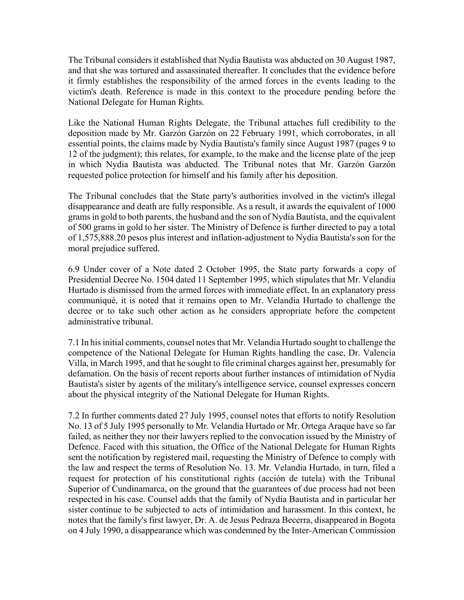The Tribunal considers it established that Nydia Bautista was abducted on 30 August 1987, and that she was tortured and assassinated thereafter. It concludes that the evidence before it firmly establishes the responsibility of the armed forces in the events leading to the victim's death. Reference is made in this context to the procedure pending before the National Delegate for Human Rights.

Like the National Human Rights Delegate, the Tribunal attaches full credibility to the deposition made by Mr. Garzón Garzón on 22 February 1991, which corroborates, in all essential points, the claims made by Nydia Bautista's family since August 1987 (pages 9 to 12 of the judgment); this relates, for example, to the make and the license plate of the jeep in which Nydia Bautista was abducted. The Tribunal notes that Mr. Garzón Garzón requested police protection for himself and his family after his deposition.

The Tribunal concludes that the State party's authorities involved in the victim's illegal disappearance and death are fully responsible. As a result, it awards the equivalent of 1000 grams in gold to both parents, the husband and the son of Nydia Bautista, and the equivalent of 500 grams in gold to her sister. The Ministry of Defence is further directed to pay a total of 1,575,888.20 pesos plus interest and inflation-adjustment to Nydia Bautista's son for the moral prejudice suffered.

6.9 Under cover of a Note dated 2 October 1995, the State party forwards a copy of Presidential Decree No. 1504 dated 11 September 1995, which stipulates that Mr. Velandia Hurtado is dismissed from the armed forces with immediate effect. In an explanatory press communiqué, it is noted that it remains open to Mr. Velandia Hurtado to challenge the decree or to take such other action as he considers appropriate before the competent administrative tribunal.

7.1 In his initial comments, counsel notes that Mr. Velandia Hurtado sought to challenge the competence of the National Delegate for Human Rights handling the case, Dr. Valencia Villa, in March 1995, and that he sought to file criminal charges against her, presumably for defamation. On the basis of recent reports about further instances of intimidation of Nydia Bautista's sister by agents of the military's intelligence service, counsel expresses concern about the physical integrity of the National Delegate for Human Rights.

7.2 In further comments dated 27 July 1995, counsel notes that efforts to notify Resolution No. 13 of 5 July 1995 personally to Mr. Velandia Hurtado or Mr. Ortega Araque have so far failed, as neither they nor their lawyers replied to the convocation issued by the Ministry of Defence. Faced with this situation, the Office of the National Delegate for Human Rights sent the notification by registered mail, requesting the Ministry of Defence to comply with the law and respect the terms of Resolution No. 13. Mr. Velandia Hurtado, in turn, filed a request for protection of his constitutional rights (acción de tutela) with the Tribunal Superior of Cundinamarca, on the ground that the guarantees of due process had not been respected in his case. Counsel adds that the family of Nydia Bautista and in particular her sister continue to be subjected to acts of intimidation and harassment. In this context, he notes that the family's first lawyer, Dr. A. de Jesus Pedraza Becerra, disappeared in Bogota on 4 July 1990, a disappearance which was condemned by the Inter-American Commission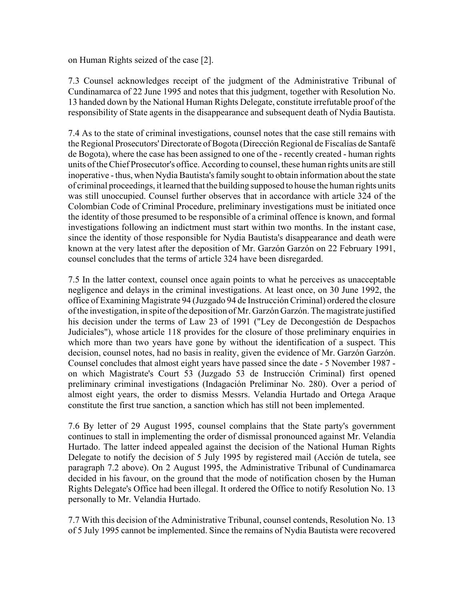on Human Rights seized of the case [2].

7.3 Counsel acknowledges receipt of the judgment of the Administrative Tribunal of Cundinamarca of 22 June 1995 and notes that this judgment, together with Resolution No. 13 handed down by the National Human Rights Delegate, constitute irrefutable proof of the responsibility of State agents in the disappearance and subsequent death of Nydia Bautista.

7.4 As to the state of criminal investigations, counsel notes that the case still remains with the Regional Prosecutors' Directorate of Bogota (Dirección Regional de Fiscalías de Santafé de Bogota), where the case has been assigned to one of the - recently created - human rights units of the Chief Prosecutor's office. According to counsel, these human rights units are still inoperative - thus, when Nydia Bautista's family sought to obtain information about the state of criminal proceedings, it learned that the building supposed to house the human rights units was still unoccupied. Counsel further observes that in accordance with article 324 of the Colombian Code of Criminal Procedure, preliminary investigations must be initiated once the identity of those presumed to be responsible of a criminal offence is known, and formal investigations following an indictment must start within two months. In the instant case, since the identity of those responsible for Nydia Bautista's disappearance and death were known at the very latest after the deposition of Mr. Garzón Garzón on 22 February 1991, counsel concludes that the terms of article 324 have been disregarded.

7.5 In the latter context, counsel once again points to what he perceives as unacceptable negligence and delays in the criminal investigations. At least once, on 30 June 1992, the office of Examining Magistrate 94 (Juzgado 94 de Instrucción Criminal) ordered the closure of the investigation, in spite of the deposition of Mr. Garzón Garzón. The magistrate justified his decision under the terms of Law 23 of 1991 ("Ley de Decongestión de Despachos Judiciales"), whose article 118 provides for the closure of those preliminary enquiries in which more than two years have gone by without the identification of a suspect. This decision, counsel notes, had no basis in reality, given the evidence of Mr. Garzón Garzón. Counsel concludes that almost eight years have passed since the date - 5 November 1987 on which Magistrate's Court 53 (Juzgado 53 de Instrucción Criminal) first opened preliminary criminal investigations (Indagación Preliminar No. 280). Over a period of almost eight years, the order to dismiss Messrs. Velandia Hurtado and Ortega Araque constitute the first true sanction, a sanction which has still not been implemented.

7.6 By letter of 29 August 1995, counsel complains that the State party's government continues to stall in implementing the order of dismissal pronounced against Mr. Velandia Hurtado. The latter indeed appealed against the decision of the National Human Rights Delegate to notify the decision of 5 July 1995 by registered mail (Acción de tutela, see paragraph 7.2 above). On 2 August 1995, the Administrative Tribunal of Cundinamarca decided in his favour, on the ground that the mode of notification chosen by the Human Rights Delegate's Office had been illegal. It ordered the Office to notify Resolution No. 13 personally to Mr. Velandia Hurtado.

7.7 With this decision of the Administrative Tribunal, counsel contends, Resolution No. 13 of 5 July 1995 cannot be implemented. Since the remains of Nydia Bautista were recovered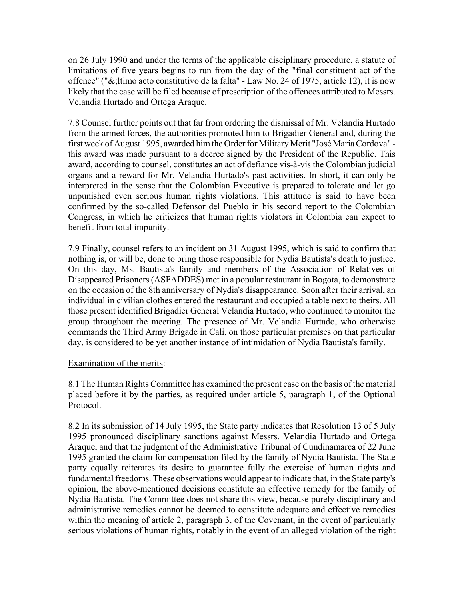on 26 July 1990 and under the terms of the applicable disciplinary procedure, a statute of limitations of five years begins to run from the day of the "final constituent act of the offence" ("&;ltimo acto constitutivo de la falta" - Law No. 24 of 1975, article 12), it is now likely that the case will be filed because of prescription of the offences attributed to Messrs. Velandia Hurtado and Ortega Araque.

7.8 Counsel further points out that far from ordering the dismissal of Mr. Velandia Hurtado from the armed forces, the authorities promoted him to Brigadier General and, during the first week of August 1995, awarded him the Order for Military Merit "José Maria Cordova" this award was made pursuant to a decree signed by the President of the Republic. This award, according to counsel, constitutes an act of defiance vis-à-vis the Colombian judicial organs and a reward for Mr. Velandia Hurtado's past activities. In short, it can only be interpreted in the sense that the Colombian Executive is prepared to tolerate and let go unpunished even serious human rights violations. This attitude is said to have been confirmed by the so-called Defensor del Pueblo in his second report to the Colombian Congress, in which he criticizes that human rights violators in Colombia can expect to benefit from total impunity.

7.9 Finally, counsel refers to an incident on 31 August 1995, which is said to confirm that nothing is, or will be, done to bring those responsible for Nydia Bautista's death to justice. On this day, Ms. Bautista's family and members of the Association of Relatives of Disappeared Prisoners (ASFADDES) met in a popular restaurant in Bogota, to demonstrate on the occasion of the 8th anniversary of Nydia's disappearance. Soon after their arrival, an individual in civilian clothes entered the restaurant and occupied a table next to theirs. All those present identified Brigadier General Velandia Hurtado, who continued to monitor the group throughout the meeting. The presence of Mr. Velandia Hurtado, who otherwise commands the Third Army Brigade in Cali, on those particular premises on that particular day, is considered to be yet another instance of intimidation of Nydia Bautista's family.

#### Examination of the merits:

8.1 The Human Rights Committee has examined the present case on the basis of the material placed before it by the parties, as required under article 5, paragraph 1, of the Optional Protocol.

8.2 In its submission of 14 July 1995, the State party indicates that Resolution 13 of 5 July 1995 pronounced disciplinary sanctions against Messrs. Velandia Hurtado and Ortega Araque, and that the judgment of the Administrative Tribunal of Cundinamarca of 22 June 1995 granted the claim for compensation filed by the family of Nydia Bautista. The State party equally reiterates its desire to guarantee fully the exercise of human rights and fundamental freedoms. These observations would appear to indicate that, in the State party's opinion, the above-mentioned decisions constitute an effective remedy for the family of Nydia Bautista. The Committee does not share this view, because purely disciplinary and administrative remedies cannot be deemed to constitute adequate and effective remedies within the meaning of article 2, paragraph 3, of the Covenant, in the event of particularly serious violations of human rights, notably in the event of an alleged violation of the right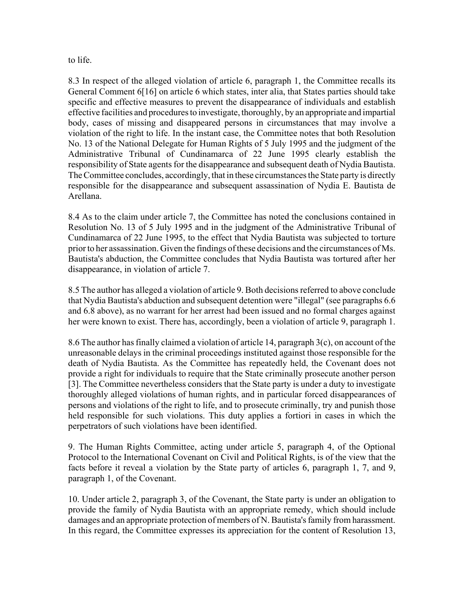#### to life.

8.3 In respect of the alleged violation of article 6, paragraph 1, the Committee recalls its General Comment 6[16] on article 6 which states, inter alia, that States parties should take specific and effective measures to prevent the disappearance of individuals and establish effective facilities and procedures to investigate, thoroughly, by an appropriate and impartial body, cases of missing and disappeared persons in circumstances that may involve a violation of the right to life. In the instant case, the Committee notes that both Resolution No. 13 of the National Delegate for Human Rights of 5 July 1995 and the judgment of the Administrative Tribunal of Cundinamarca of 22 June 1995 clearly establish the responsibility of State agents for the disappearance and subsequent death of Nydia Bautista. The Committee concludes, accordingly, that in these circumstances the State party is directly responsible for the disappearance and subsequent assassination of Nydia E. Bautista de Arellana.

8.4 As to the claim under article 7, the Committee has noted the conclusions contained in Resolution No. 13 of 5 July 1995 and in the judgment of the Administrative Tribunal of Cundinamarca of 22 June 1995, to the effect that Nydia Bautista was subjected to torture prior to her assassination. Given the findings of these decisions and the circumstances of Ms. Bautista's abduction, the Committee concludes that Nydia Bautista was tortured after her disappearance, in violation of article 7.

8.5 The author has alleged a violation of article 9. Both decisions referred to above conclude that Nydia Bautista's abduction and subsequent detention were "illegal" (see paragraphs 6.6 and 6.8 above), as no warrant for her arrest had been issued and no formal charges against her were known to exist. There has, accordingly, been a violation of article 9, paragraph 1.

8.6 The author has finally claimed a violation of article 14, paragraph 3(c), on account of the unreasonable delays in the criminal proceedings instituted against those responsible for the death of Nydia Bautista. As the Committee has repeatedly held, the Covenant does not provide a right for individuals to require that the State criminally prosecute another person [3]. The Committee nevertheless considers that the State party is under a duty to investigate thoroughly alleged violations of human rights, and in particular forced disappearances of persons and violations of the right to life, and to prosecute criminally, try and punish those held responsible for such violations. This duty applies a fortiori in cases in which the perpetrators of such violations have been identified.

9. The Human Rights Committee, acting under article 5, paragraph 4, of the Optional Protocol to the International Covenant on Civil and Political Rights, is of the view that the facts before it reveal a violation by the State party of articles 6, paragraph 1, 7, and 9, paragraph 1, of the Covenant.

10. Under article 2, paragraph 3, of the Covenant, the State party is under an obligation to provide the family of Nydia Bautista with an appropriate remedy, which should include damages and an appropriate protection of members of N. Bautista's family from harassment. In this regard, the Committee expresses its appreciation for the content of Resolution 13,